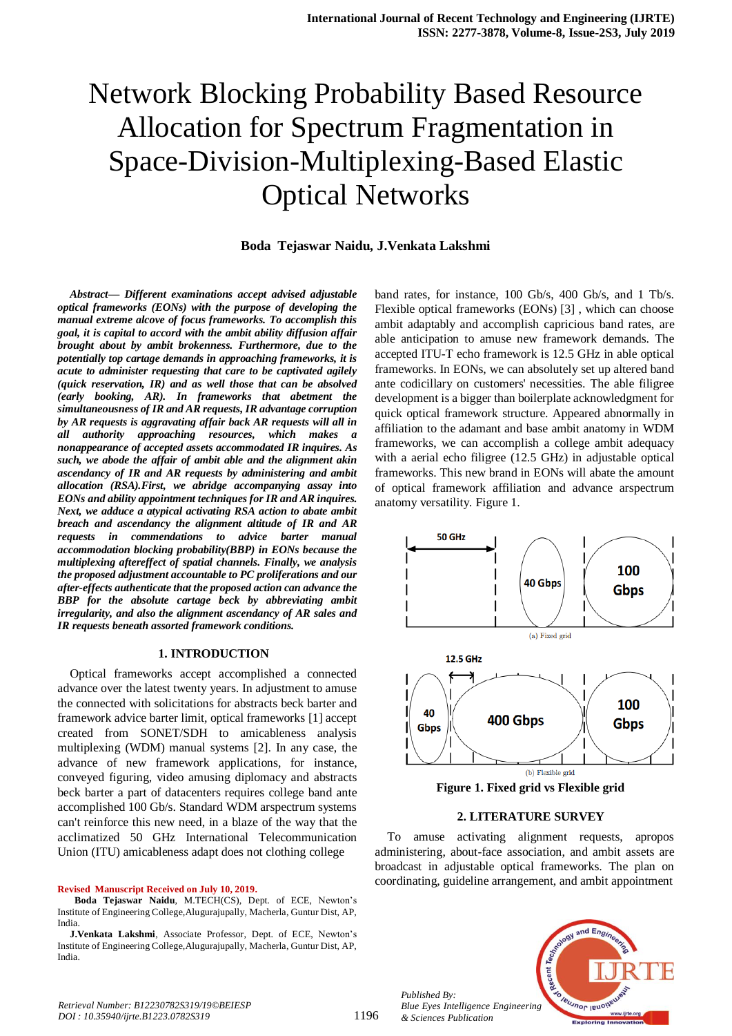# Network Blocking Probability Based Resource Allocation for Spectrum Fragmentation in Space-Division-Multiplexing-Based Elastic Optical Networks

#### **Boda Tejaswar Naidu, J.Venkata Lakshmi**

*Abstract***—** *Different examinations accept advised adjustable optical frameworks (EONs) with the purpose of developing the manual extreme alcove of focus frameworks. To accomplish this goal, it is capital to accord with the ambit ability diffusion affair brought about by ambit brokenness. Furthermore, due to the potentially top cartage demands in approaching frameworks, it is acute to administer requesting that care to be captivated agilely (quick reservation, IR) and as well those that can be absolved (early booking, AR). In frameworks that abetment the simultaneousness of IR and AR requests, IR advantage corruption by AR requests is aggravating affair back AR requests will all in all authority approaching resources, which makes a nonappearance of accepted assets accommodated IR inquires. As such, we abode the affair of ambit able and the alignment akin ascendancy of IR and AR requests by administering and ambit allocation (RSA).First, we abridge accompanying assay into EONs and ability appointment techniques for IR and AR inquires. Next, we adduce a atypical activating RSA action to abate ambit breach and ascendancy the alignment altitude of IR and AR requests in commendations to advice barter manual accommodation blocking probability(BBP) in EONs because the multiplexing aftereffect of spatial channels. Finally, we analysis the proposed adjustment accountable to PC proliferations and our after-effects authenticate that the proposed action can advance the BBP for the absolute cartage beck by abbreviating ambit irregularity, and also the alignment ascendancy of AR sales and IR requests beneath assorted framework conditions.*

#### **1. INTRODUCTION**

Optical frameworks accept accomplished a connected advance over the latest twenty years. In adjustment to amuse the connected with solicitations for abstracts beck barter and framework advice barter limit, optical frameworks [1] accept created from SONET/SDH to amicableness analysis multiplexing (WDM) manual systems [2]. In any case, the advance of new framework applications, for instance, conveyed figuring, video amusing diplomacy and abstracts beck barter a part of datacenters requires college band ante accomplished 100 Gb/s. Standard WDM arspectrum systems can't reinforce this new need, in a blaze of the way that the acclimatized 50 GHz International Telecommunication Union (ITU) amicableness adapt does not clothing college

#### **Revised Manuscript Received on July 10, 2019.**

band rates, for instance, 100 Gb/s, 400 Gb/s, and 1 Tb/s. Flexible optical frameworks (EONs) [3] , which can choose ambit adaptably and accomplish capricious band rates, are able anticipation to amuse new framework demands. The accepted ITU-T echo framework is 12.5 GHz in able optical frameworks. In EONs, we can absolutely set up altered band ante codicillary on customers' necessities. The able filigree development is a bigger than boilerplate acknowledgment for quick optical framework structure. Appeared abnormally in affiliation to the adamant and base ambit anatomy in WDM frameworks, we can accomplish a college ambit adequacy with a aerial echo filigree (12.5 GHz) in adjustable optical frameworks. This new brand in EONs will abate the amount of optical framework affiliation and advance arspectrum anatomy versatility. Figure 1.



**Figure 1. Fixed grid vs Flexible grid**

#### **2. LITERATURE SURVEY**

To amuse activating alignment requests, apropos administering, about-face association, and ambit assets are broadcast in adjustable optical frameworks. The plan on coordinating, guideline arrangement, and ambit appointment



*Published By: Blue Eyes Intelligence Engineering & Sciences Publication* 

**Boda Tejaswar Naidu**, M.TECH(CS), Dept. of ECE, Newton's Institute of Engineering College,Alugurajupally, Macherla, Guntur Dist, AP, India.

**J.Venkata Lakshmi**, Associate Professor, Dept. of ECE, Newton's Institute of Engineering College,Alugurajupally, Macherla, Guntur Dist, AP, India.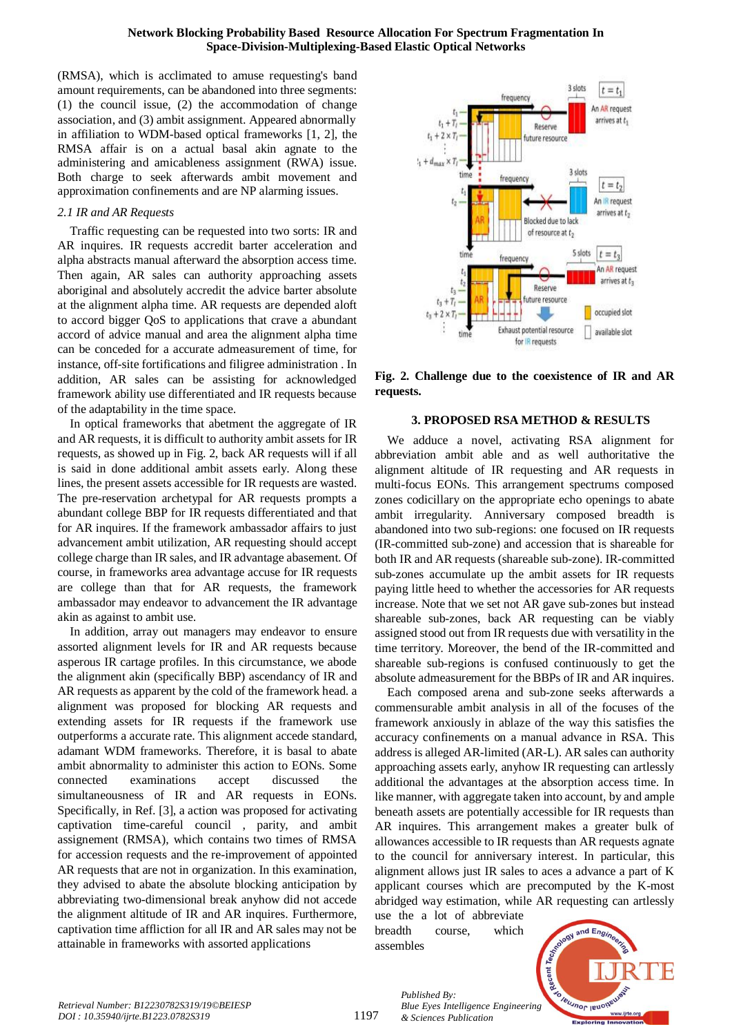#### **Network Blocking Probability Based Resource Allocation For Spectrum Fragmentation In Space-Division-Multiplexing-Based Elastic Optical Networks**

(RMSA), which is acclimated to amuse requesting's band amount requirements, can be abandoned into three segments: (1) the council issue, (2) the accommodation of change association, and (3) ambit assignment. Appeared abnormally in affiliation to WDM-based optical frameworks [1, 2], the RMSA affair is on a actual basal akin agnate to the administering and amicableness assignment (RWA) issue. Both charge to seek afterwards ambit movement and approximation confinements and are NP alarming issues.

## *2.1 IR and AR Requests*

Traffic requesting can be requested into two sorts: IR and AR inquires. IR requests accredit barter acceleration and alpha abstracts manual afterward the absorption access time. Then again, AR sales can authority approaching assets aboriginal and absolutely accredit the advice barter absolute at the alignment alpha time. AR requests are depended aloft to accord bigger QoS to applications that crave a abundant accord of advice manual and area the alignment alpha time can be conceded for a accurate admeasurement of time, for instance, off-site fortifications and filigree administration . In addition, AR sales can be assisting for acknowledged framework ability use differentiated and IR requests because of the adaptability in the time space.

In optical frameworks that abetment the aggregate of IR and AR requests, it is difficult to authority ambit assets for IR requests, as showed up in Fig. 2, back AR requests will if all is said in done additional ambit assets early. Along these lines, the present assets accessible for IR requests are wasted. The pre-reservation archetypal for AR requests prompts a abundant college BBP for IR requests differentiated and that for AR inquires. If the framework ambassador affairs to just advancement ambit utilization, AR requesting should accept college charge than IR sales, and IR advantage abasement. Of course, in frameworks area advantage accuse for IR requests are college than that for AR requests, the framework ambassador may endeavor to advancement the IR advantage akin as against to ambit use.

In addition, array out managers may endeavor to ensure assorted alignment levels for IR and AR requests because asperous IR cartage profiles. In this circumstance, we abode the alignment akin (specifically BBP) ascendancy of IR and AR requests as apparent by the cold of the framework head. a alignment was proposed for blocking AR requests and extending assets for IR requests if the framework use outperforms a accurate rate. This alignment accede standard, adamant WDM frameworks. Therefore, it is basal to abate ambit abnormality to administer this action to EONs. Some connected examinations accept discussed the simultaneousness of IR and AR requests in EONs. Specifically, in Ref. [3], a action was proposed for activating captivation time-careful council , parity, and ambit assignement (RMSA), which contains two times of RMSA for accession requests and the re-improvement of appointed AR requests that are not in organization. In this examination, they advised to abate the absolute blocking anticipation by abbreviating two-dimensional break anyhow did not accede the alignment altitude of IR and AR inquires. Furthermore, captivation time affliction for all IR and AR sales may not be attainable in frameworks with assorted applications



**Fig. 2. Challenge due to the coexistence of IR and AR requests.**

## **3. PROPOSED RSA METHOD & RESULTS**

We adduce a novel, activating RSA alignment for abbreviation ambit able and as well authoritative the alignment altitude of IR requesting and AR requests in multi-focus EONs. This arrangement spectrums composed zones codicillary on the appropriate echo openings to abate ambit irregularity. Anniversary composed breadth is abandoned into two sub-regions: one focused on IR requests (IR-committed sub-zone) and accession that is shareable for both IR and AR requests (shareable sub-zone). IR-committed sub-zones accumulate up the ambit assets for IR requests paying little heed to whether the accessories for AR requests increase. Note that we set not AR gave sub-zones but instead shareable sub-zones, back AR requesting can be viably assigned stood out from IR requests due with versatility in the time territory. Moreover, the bend of the IR-committed and shareable sub-regions is confused continuously to get the absolute admeasurement for the BBPs of IR and AR inquires.

Each composed arena and sub-zone seeks afterwards a commensurable ambit analysis in all of the focuses of the framework anxiously in ablaze of the way this satisfies the accuracy confinements on a manual advance in RSA. This address is alleged AR-limited (AR-L). AR sales can authority approaching assets early, anyhow IR requesting can artlessly additional the advantages at the absorption access time. In like manner, with aggregate taken into account, by and ample beneath assets are potentially accessible for IR requests than AR inquires. This arrangement makes a greater bulk of allowances accessible to IR requests than AR requests agnate to the council for anniversary interest. In particular, this alignment allows just IR sales to aces a advance a part of K applicant courses which are precomputed by the K-most abridged way estimation, while AR requesting can artlessly

use the a lot of abbreviate breadth course, which assembles

*Published By:*

*& Sciences Publication* 

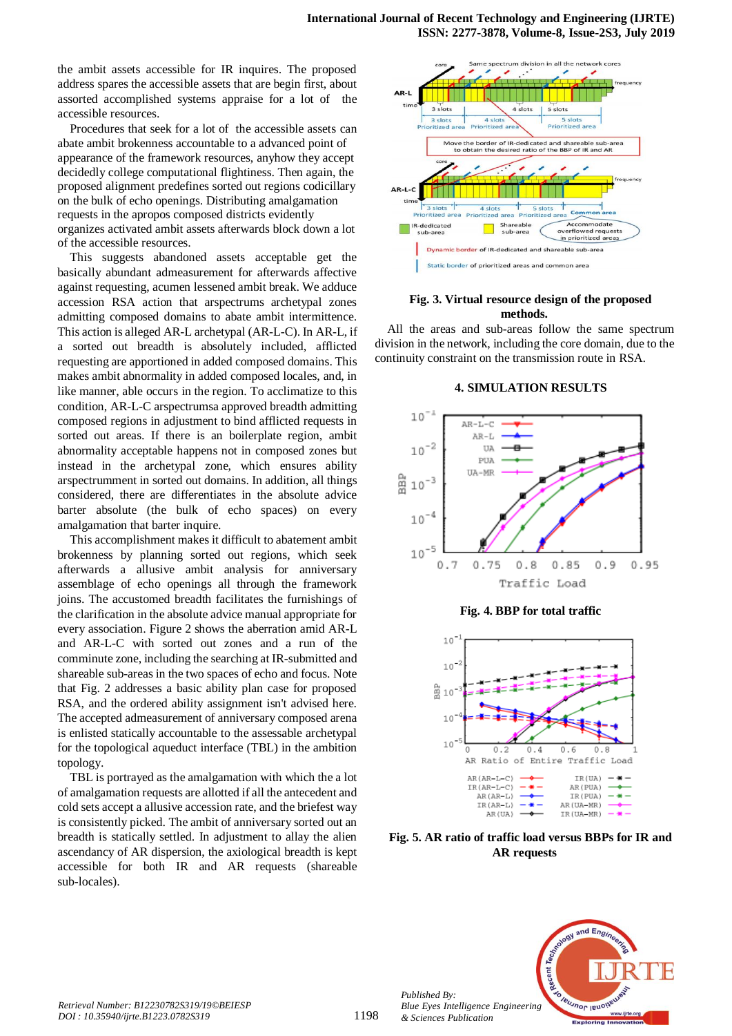the ambit assets accessible for IR inquires. The proposed address spares the accessible assets that are begin first, about assorted accomplished systems appraise for a lot of the accessible resources.

Procedures that seek for a lot of the accessible assets can abate ambit brokenness accountable to a advanced point of appearance of the framework resources, anyhow they accept decidedly college computational flightiness. Then again, the proposed alignment predefines sorted out regions codicillary on the bulk of echo openings. Distributing amalgamation requests in the apropos composed districts evidently organizes activated ambit assets afterwards block down a lot of the accessible resources.

This suggests abandoned assets acceptable get the basically abundant admeasurement for afterwards affective against requesting, acumen lessened ambit break. We adduce accession RSA action that arspectrums archetypal zones admitting composed domains to abate ambit intermittence. This action is alleged AR-L archetypal (AR-L-C). In AR-L, if a sorted out breadth is absolutely included, afflicted requesting are apportioned in added composed domains. This makes ambit abnormality in added composed locales, and, in like manner, able occurs in the region. To acclimatize to this condition, AR-L-C arspectrumsa approved breadth admitting composed regions in adjustment to bind afflicted requests in sorted out areas. If there is an boilerplate region, ambit abnormality acceptable happens not in composed zones but instead in the archetypal zone, which ensures ability arspectrumment in sorted out domains. In addition, all things considered, there are differentiates in the absolute advice barter absolute (the bulk of echo spaces) on every amalgamation that barter inquire.

This accomplishment makes it difficult to abatement ambit brokenness by planning sorted out regions, which seek afterwards a allusive ambit analysis for anniversary assemblage of echo openings all through the framework joins. The accustomed breadth facilitates the furnishings of the clarification in the absolute advice manual appropriate for every association. Figure 2 shows the aberration amid AR-L and AR-L-C with sorted out zones and a run of the comminute zone, including the searching at IR-submitted and shareable sub-areas in the two spaces of echo and focus. Note that Fig. 2 addresses a basic ability plan case for proposed RSA, and the ordered ability assignment isn't advised here. The accepted admeasurement of anniversary composed arena is enlisted statically accountable to the assessable archetypal for the topological aqueduct interface (TBL) in the ambition topology.

TBL is portrayed as the amalgamation with which the a lot of amalgamation requests are allotted if all the antecedent and cold sets accept a allusive accession rate, and the briefest way is consistently picked. The ambit of anniversary sorted out an breadth is statically settled. In adjustment to allay the alien ascendancy of AR dispersion, the axiological breadth is kept accessible for both IR and AR requests (shareable sub-locales).



#### **Fig. 3. Virtual resource design of the proposed methods.**

All the areas and sub-areas follow the same spectrum division in the network, including the core domain, due to the continuity constraint on the transmission route in RSA.

**4. SIMULATION RESULTS**



**Fig. 4. BBP for total traffic**



**Fig. 5. AR ratio of traffic load versus BBPs for IR and AR requests**



*Published By:*

*& Sciences Publication*